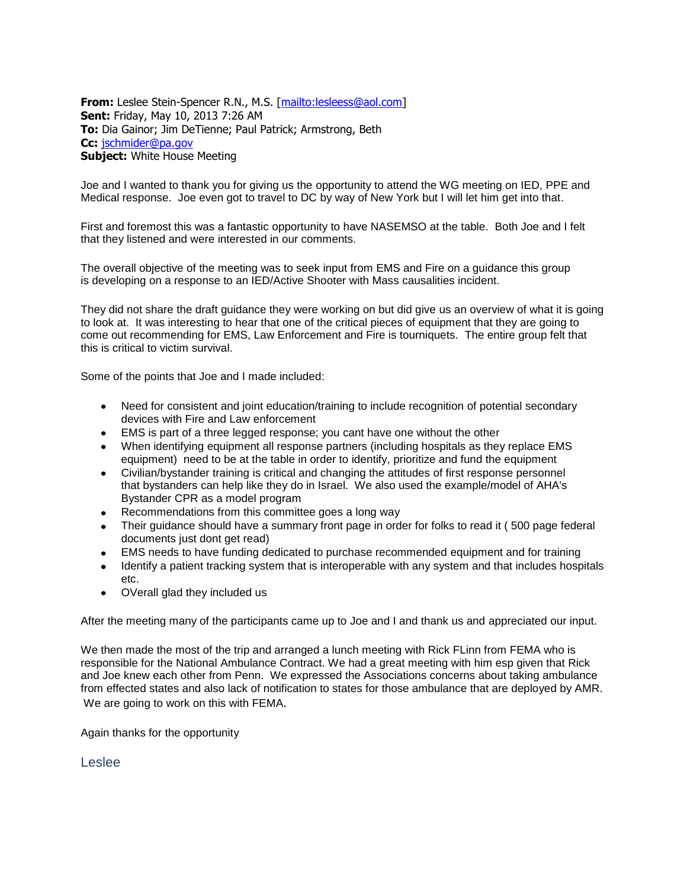**From:** Leslee Stein-Spencer R.N., M.S. [\[mailto:lesleess@aol.com\]](mailto:lesleess@aol.com) **Sent:** Friday, May 10, 2013 7:26 AM **To:** Dia Gainor; Jim DeTienne; Paul Patrick; Armstrong, Beth **Cc:** [jschmider@pa.gov](mailto:jschmider@pa.gov) **Subject:** White House Meeting

Joe and I wanted to thank you for giving us the opportunity to attend the WG meeting on IED, PPE and Medical response. Joe even got to travel to DC by way of New York but I will let him get into that.

First and foremost this was a fantastic opportunity to have NASEMSO at the table. Both Joe and I felt that they listened and were interested in our comments.

The overall objective of the meeting was to seek input from EMS and Fire on a guidance this group is developing on a response to an IED/Active Shooter with Mass causalities incident.

They did not share the draft guidance they were working on but did give us an overview of what it is going to look at. It was interesting to hear that one of the critical pieces of equipment that they are going to come out recommending for EMS, Law Enforcement and Fire is tourniquets. The entire group felt that this is critical to victim survival.

Some of the points that Joe and I made included:

- Need for consistent and joint education/training to include recognition of potential secondary devices with Fire and Law enforcement
- EMS is part of a three legged response; you cant have one without the other
- When identifying equipment all response partners (including hospitals as they replace EMS equipment) need to be at the table in order to identify, prioritize and fund the equipment
- Civilian/bystander training is critical and changing the attitudes of first response personnel that bystanders can help like they do in Israel. We also used the example/model of AHA's Bystander CPR as a model program
- Recommendations from this committee goes a long way
- Their guidance should have a summary front page in order for folks to read it (500 page federal documents just dont get read)
- EMS needs to have funding dedicated to purchase recommended equipment and for training
- Identify a patient tracking system that is interoperable with any system and that includes hospitals etc.
- OVerall glad they included us

After the meeting many of the participants came up to Joe and I and thank us and appreciated our input.

We then made the most of the trip and arranged a lunch meeting with Rick FLinn from FEMA who is responsible for the National Ambulance Contract. We had a great meeting with him esp given that Rick and Joe knew each other from Penn. We expressed the Associations concerns about taking ambulance from effected states and also lack of notification to states for those ambulance that are deployed by AMR. We are going to work on this with FEMA.

Again thanks for the opportunity

Leslee